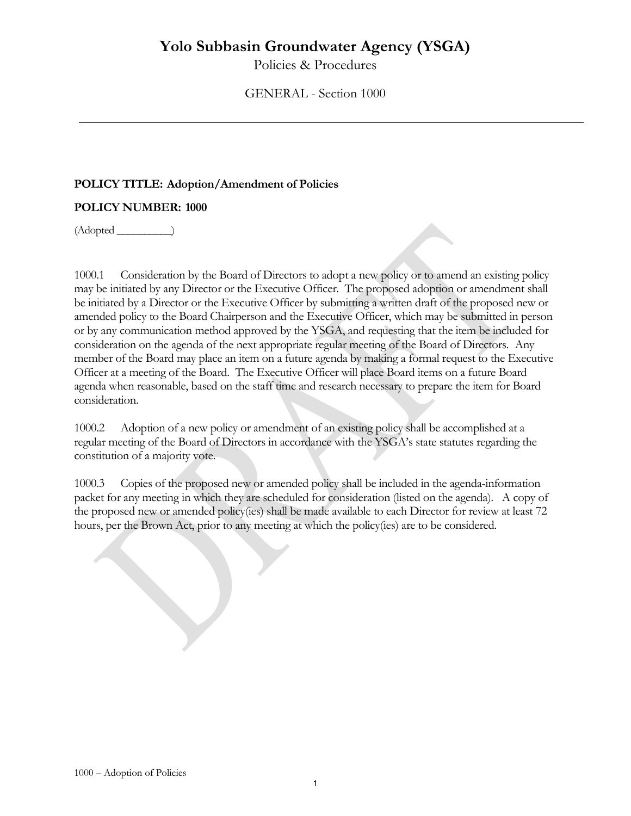Policies & Procedures

GENERAL - Section 1000

## **POLICY TITLE: Adoption/Amendment of Policies**

## **POLICY NUMBER: 1000**

(Adopted \_\_\_\_\_\_\_\_\_\_)

1000.1 Consideration by the Board of Directors to adopt a new policy or to amend an existing policy may be initiated by any Director or the Executive Officer. The proposed adoption or amendment shall be initiated by a Director or the Executive Officer by submitting a written draft of the proposed new or amended policy to the Board Chairperson and the Executive Officer, which may be submitted in person or by any communication method approved by the YSGA, and requesting that the item be included for consideration on the agenda of the next appropriate regular meeting of the Board of Directors. Any member of the Board may place an item on a future agenda by making a formal request to the Executive Officer at a meeting of the Board. The Executive Officer will place Board items on a future Board agenda when reasonable, based on the staff time and research necessary to prepare the item for Board consideration.

1000.2 Adoption of a new policy or amendment of an existing policy shall be accomplished at a regular meeting of the Board of Directors in accordance with the YSGA's state statutes regarding the constitution of a majority vote.

1000.3 Copies of the proposed new or amended policy shall be included in the agenda-information packet for any meeting in which they are scheduled for consideration (listed on the agenda). A copy of the proposed new or amended policy(ies) shall be made available to each Director for review at least 72 hours, per the Brown Act, prior to any meeting at which the policy(ies) are to be considered.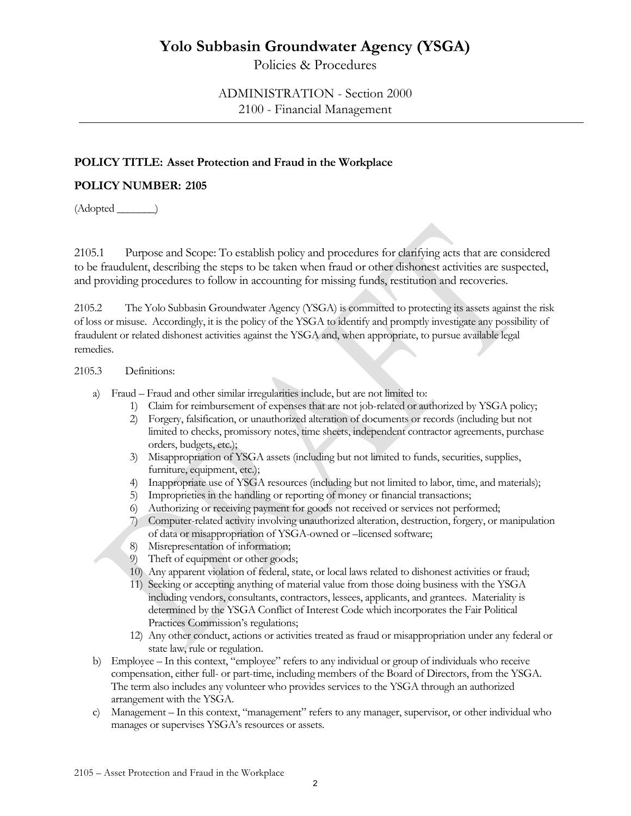Policies & Procedures

# ADMINISTRATION - Section 2000 2100 - Financial Management

# **POLICY TITLE: Asset Protection and Fraud in the Workplace**

### **POLICY NUMBER: 2105**

 $(Adopted \_)$ 

2105.1 Purpose and Scope: To establish policy and procedures for clarifying acts that are considered to be fraudulent, describing the steps to be taken when fraud or other dishonest activities are suspected, and providing procedures to follow in accounting for missing funds, restitution and recoveries.

2105.2 The Yolo Subbasin Groundwater Agency (YSGA) is committed to protecting its assets against the risk of loss or misuse. Accordingly, it is the policy of the YSGA to identify and promptly investigate any possibility of fraudulent or related dishonest activities against the YSGA and, when appropriate, to pursue available legal remedies.

### 2105.3 Definitions:

- a) Fraud Fraud and other similar irregularities include, but are not limited to:
	- 1) Claim for reimbursement of expenses that are not job-related or authorized by YSGA policy;
	- 2) Forgery, falsification, or unauthorized alteration of documents or records (including but not limited to checks, promissory notes, time sheets, independent contractor agreements, purchase orders, budgets, etc.);
	- 3) Misappropriation of YSGA assets (including but not limited to funds, securities, supplies, furniture, equipment, etc.);
	- 4) Inappropriate use of YSGA resources (including but not limited to labor, time, and materials);
	- 5) Improprieties in the handling or reporting of money or financial transactions;
	- 6) Authorizing or receiving payment for goods not received or services not performed;
	- 7) Computer-related activity involving unauthorized alteration, destruction, forgery, or manipulation of data or misappropriation of YSGA-owned or –licensed software;
	- 8) Misrepresentation of information;
	- 9) Theft of equipment or other goods;
	- 10) Any apparent violation of federal, state, or local laws related to dishonest activities or fraud;
	- 11) Seeking or accepting anything of material value from those doing business with the YSGA including vendors, consultants, contractors, lessees, applicants, and grantees. Materiality is determined by the YSGA Conflict of Interest Code which incorporates the Fair Political Practices Commission's regulations;
	- 12) Any other conduct, actions or activities treated as fraud or misappropriation under any federal or state law, rule or regulation.
- b) Employee In this context, "employee" refers to any individual or group of individuals who receive compensation, either full- or part-time, including members of the Board of Directors, from the YSGA. The term also includes any volunteer who provides services to the YSGA through an authorized arrangement with the YSGA.
- c) Management In this context, "management" refers to any manager, supervisor, or other individual who manages or supervises YSGA's resources or assets.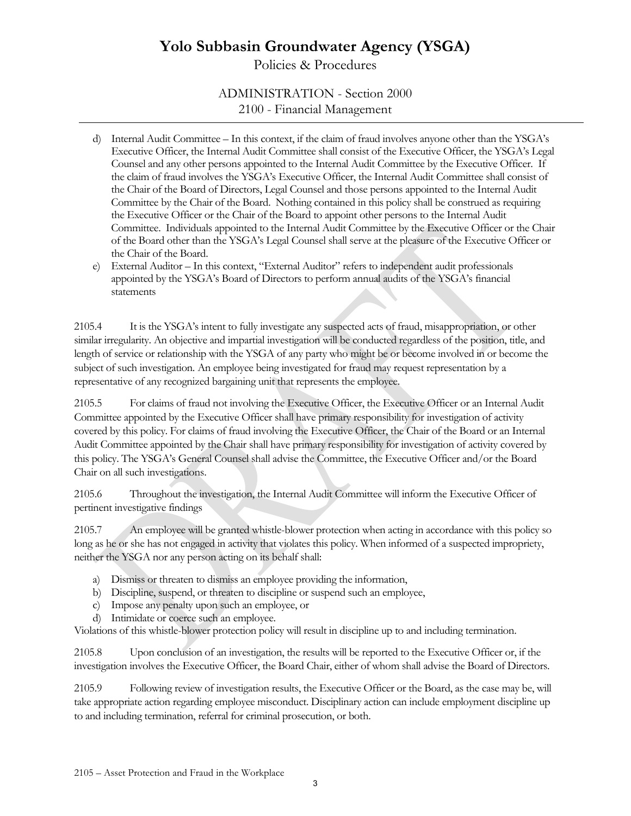Policies & Procedures

ADMINISTRATION - Section 2000 2100 - Financial Management

- d) Internal Audit Committee In this context, if the claim of fraud involves anyone other than the YSGA's Executive Officer, the Internal Audit Committee shall consist of the Executive Officer, the YSGA's Legal Counsel and any other persons appointed to the Internal Audit Committee by the Executive Officer. If the claim of fraud involves the YSGA's Executive Officer, the Internal Audit Committee shall consist of the Chair of the Board of Directors, Legal Counsel and those persons appointed to the Internal Audit Committee by the Chair of the Board. Nothing contained in this policy shall be construed as requiring the Executive Officer or the Chair of the Board to appoint other persons to the Internal Audit Committee. Individuals appointed to the Internal Audit Committee by the Executive Officer or the Chair of the Board other than the YSGA's Legal Counsel shall serve at the pleasure of the Executive Officer or the Chair of the Board.
- e) External Auditor In this context, "External Auditor" refers to independent audit professionals appointed by the YSGA's Board of Directors to perform annual audits of the YSGA's financial statements

2105.4 It is the YSGA's intent to fully investigate any suspected acts of fraud, misappropriation, or other similar irregularity. An objective and impartial investigation will be conducted regardless of the position, title, and length of service or relationship with the YSGA of any party who might be or become involved in or become the subject of such investigation. An employee being investigated for fraud may request representation by a representative of any recognized bargaining unit that represents the employee.

2105.5 For claims of fraud not involving the Executive Officer, the Executive Officer or an Internal Audit Committee appointed by the Executive Officer shall have primary responsibility for investigation of activity covered by this policy. For claims of fraud involving the Executive Officer, the Chair of the Board or an Internal Audit Committee appointed by the Chair shall have primary responsibility for investigation of activity covered by this policy. The YSGA's General Counsel shall advise the Committee, the Executive Officer and/or the Board Chair on all such investigations.

2105.6 Throughout the investigation, the Internal Audit Committee will inform the Executive Officer of pertinent investigative findings

2105.7 An employee will be granted whistle-blower protection when acting in accordance with this policy so long as he or she has not engaged in activity that violates this policy. When informed of a suspected impropriety, neither the YSGA nor any person acting on its behalf shall:

- a) Dismiss or threaten to dismiss an employee providing the information,
- b) Discipline, suspend, or threaten to discipline or suspend such an employee,
- c) Impose any penalty upon such an employee, or
- d) Intimidate or coerce such an employee.

Violations of this whistle-blower protection policy will result in discipline up to and including termination.

2105.8 Upon conclusion of an investigation, the results will be reported to the Executive Officer or, if the investigation involves the Executive Officer, the Board Chair, either of whom shall advise the Board of Directors.

2105.9 Following review of investigation results, the Executive Officer or the Board, as the case may be, will take appropriate action regarding employee misconduct. Disciplinary action can include employment discipline up to and including termination, referral for criminal prosecution, or both.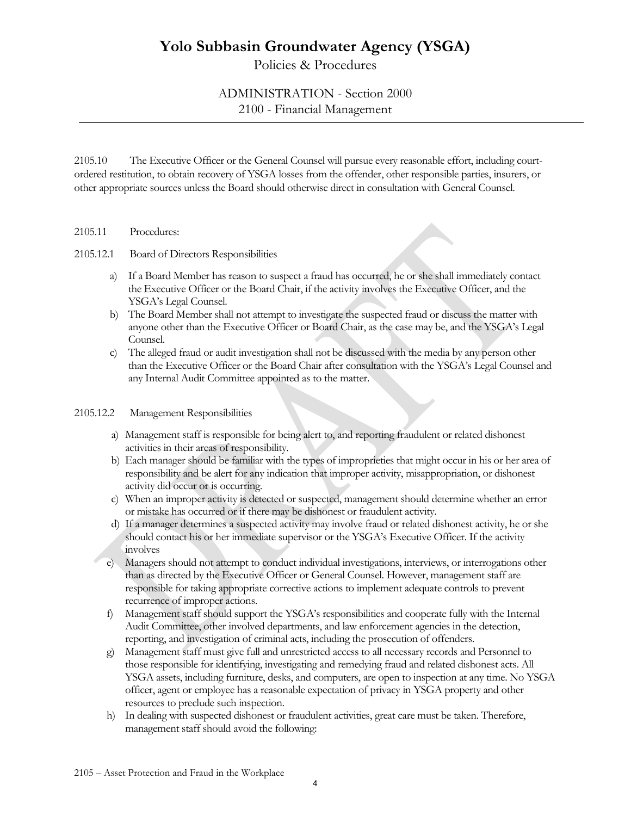Policies & Procedures

# ADMINISTRATION - Section 2000 2100 - Financial Management

2105.10 The Executive Officer or the General Counsel will pursue every reasonable effort, including courtordered restitution, to obtain recovery of YSGA losses from the offender, other responsible parties, insurers, or other appropriate sources unless the Board should otherwise direct in consultation with General Counsel.

#### 2105.11 Procedures:

#### 2105.12.1 Board of Directors Responsibilities

- a) If a Board Member has reason to suspect a fraud has occurred, he or she shall immediately contact the Executive Officer or the Board Chair, if the activity involves the Executive Officer, and the YSGA's Legal Counsel.
- b) The Board Member shall not attempt to investigate the suspected fraud or discuss the matter with anyone other than the Executive Officer or Board Chair, as the case may be, and the YSGA's Legal Counsel.
- c) The alleged fraud or audit investigation shall not be discussed with the media by any person other than the Executive Officer or the Board Chair after consultation with the YSGA's Legal Counsel and any Internal Audit Committee appointed as to the matter.

#### 2105.12.2 Management Responsibilities

- a) Management staff is responsible for being alert to, and reporting fraudulent or related dishonest activities in their areas of responsibility.
- b) Each manager should be familiar with the types of improprieties that might occur in his or her area of responsibility and be alert for any indication that improper activity, misappropriation, or dishonest activity did occur or is occurring.
- c) When an improper activity is detected or suspected, management should determine whether an error or mistake has occurred or if there may be dishonest or fraudulent activity.
- d) If a manager determines a suspected activity may involve fraud or related dishonest activity, he or she should contact his or her immediate supervisor or the YSGA's Executive Officer. If the activity involves
- e) Managers should not attempt to conduct individual investigations, interviews, or interrogations other than as directed by the Executive Officer or General Counsel. However, management staff are responsible for taking appropriate corrective actions to implement adequate controls to prevent recurrence of improper actions.
- f) Management staff should support the YSGA's responsibilities and cooperate fully with the Internal Audit Committee, other involved departments, and law enforcement agencies in the detection, reporting, and investigation of criminal acts, including the prosecution of offenders.
- g) Management staff must give full and unrestricted access to all necessary records and Personnel to those responsible for identifying, investigating and remedying fraud and related dishonest acts. All YSGA assets, including furniture, desks, and computers, are open to inspection at any time. No YSGA officer, agent or employee has a reasonable expectation of privacy in YSGA property and other resources to preclude such inspection.
- h) In dealing with suspected dishonest or fraudulent activities, great care must be taken. Therefore, management staff should avoid the following: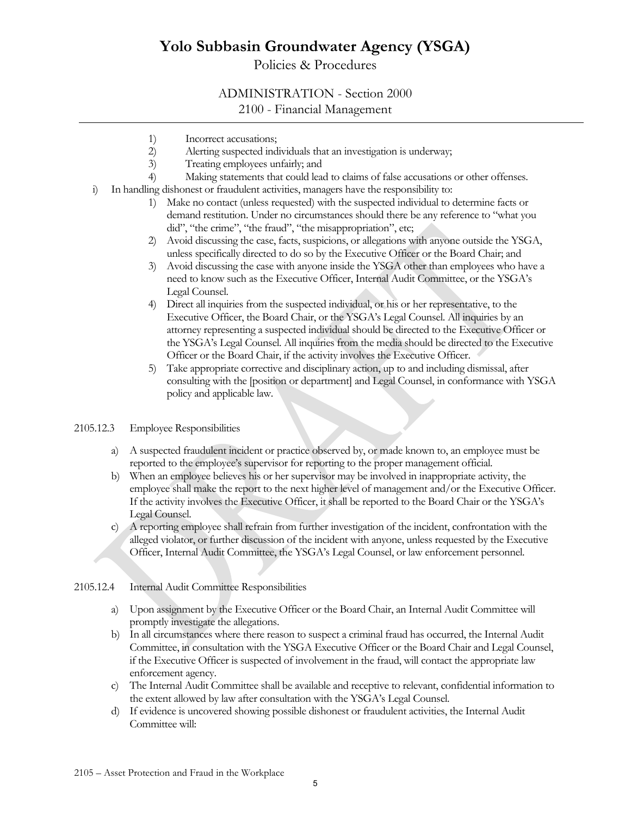# Policies & Procedures

### ADMINISTRATION - Section 2000

### 2100 - Financial Management

- 
- 1) Incorrect accusations;<br>2) Alerting suspected ind Alerting suspected individuals that an investigation is underway;
- 3) Treating employees unfairly; and<br>4) Making statements that could lea
- Making statements that could lead to claims of false accusations or other offenses.
- i) In handling dishonest or fraudulent activities, managers have the responsibility to:
	- 1) Make no contact (unless requested) with the suspected individual to determine facts or demand restitution. Under no circumstances should there be any reference to "what you did", "the crime", "the fraud", "the misappropriation", etc;
	- 2) Avoid discussing the case, facts, suspicions, or allegations with anyone outside the YSGA, unless specifically directed to do so by the Executive Officer or the Board Chair; and
	- 3) Avoid discussing the case with anyone inside the YSGA other than employees who have a need to know such as the Executive Officer, Internal Audit Committee, or the YSGA's Legal Counsel.
	- 4) Direct all inquiries from the suspected individual, or his or her representative, to the Executive Officer, the Board Chair, or the YSGA's Legal Counsel. All inquiries by an attorney representing a suspected individual should be directed to the Executive Officer or the YSGA's Legal Counsel. All inquiries from the media should be directed to the Executive Officer or the Board Chair, if the activity involves the Executive Officer.
	- 5) Take appropriate corrective and disciplinary action, up to and including dismissal, after consulting with the [position or department] and Legal Counsel, in conformance with YSGA policy and applicable law.

#### 2105.12.3 Employee Responsibilities

- a) A suspected fraudulent incident or practice observed by, or made known to, an employee must be reported to the employee's supervisor for reporting to the proper management official.
- b) When an employee believes his or her supervisor may be involved in inappropriate activity, the employee shall make the report to the next higher level of management and/or the Executive Officer. If the activity involves the Executive Officer, it shall be reported to the Board Chair or the YSGA's Legal Counsel.
- c) A reporting employee shall refrain from further investigation of the incident, confrontation with the alleged violator, or further discussion of the incident with anyone, unless requested by the Executive Officer, Internal Audit Committee, the YSGA's Legal Counsel, or law enforcement personnel.

#### 2105.12.4 Internal Audit Committee Responsibilities

- a) Upon assignment by the Executive Officer or the Board Chair, an Internal Audit Committee will promptly investigate the allegations.
- b) In all circumstances where there reason to suspect a criminal fraud has occurred, the Internal Audit Committee, in consultation with the YSGA Executive Officer or the Board Chair and Legal Counsel, if the Executive Officer is suspected of involvement in the fraud, will contact the appropriate law enforcement agency.
- c) The Internal Audit Committee shall be available and receptive to relevant, confidential information to the extent allowed by law after consultation with the YSGA's Legal Counsel.
- d) If evidence is uncovered showing possible dishonest or fraudulent activities, the Internal Audit Committee will: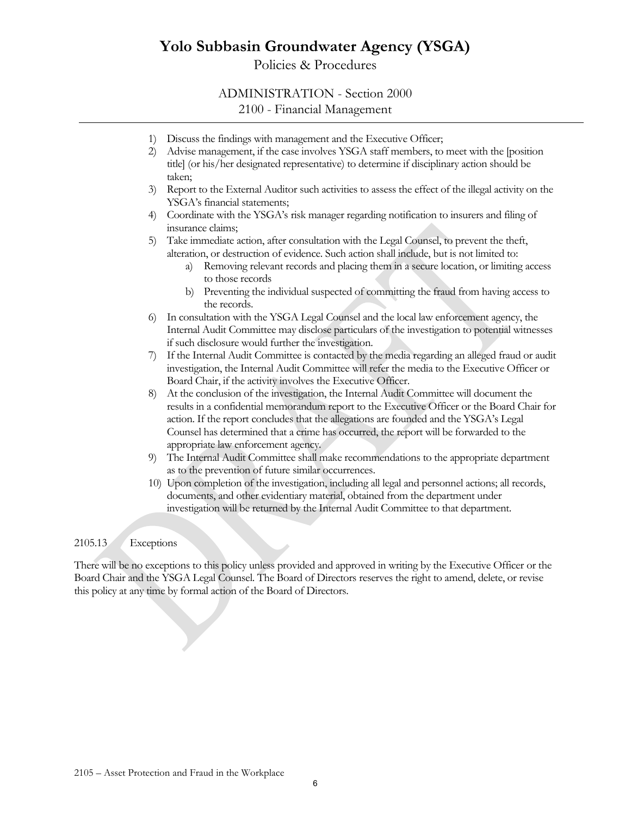Policies & Procedures

# ADMINISTRATION - Section 2000

2100 - Financial Management

- 1) Discuss the findings with management and the Executive Officer;
- 2) Advise management, if the case involves YSGA staff members, to meet with the [position title] (or his/her designated representative) to determine if disciplinary action should be taken;
- 3) Report to the External Auditor such activities to assess the effect of the illegal activity on the YSGA's financial statements;
- 4) Coordinate with the YSGA's risk manager regarding notification to insurers and filing of insurance claims;

5) Take immediate action, after consultation with the Legal Counsel, to prevent the theft, alteration, or destruction of evidence. Such action shall include, but is not limited to:

- a) Removing relevant records and placing them in a secure location, or limiting access to those records
- b) Preventing the individual suspected of committing the fraud from having access to the records.
- 6) In consultation with the YSGA Legal Counsel and the local law enforcement agency, the Internal Audit Committee may disclose particulars of the investigation to potential witnesses if such disclosure would further the investigation.
- 7) If the Internal Audit Committee is contacted by the media regarding an alleged fraud or audit investigation, the Internal Audit Committee will refer the media to the Executive Officer or Board Chair, if the activity involves the Executive Officer.
- 8) At the conclusion of the investigation, the Internal Audit Committee will document the results in a confidential memorandum report to the Executive Officer or the Board Chair for action. If the report concludes that the allegations are founded and the YSGA's Legal Counsel has determined that a crime has occurred, the report will be forwarded to the appropriate law enforcement agency.
- 9) The Internal Audit Committee shall make recommendations to the appropriate department as to the prevention of future similar occurrences.
- 10) Upon completion of the investigation, including all legal and personnel actions; all records, documents, and other evidentiary material, obtained from the department under investigation will be returned by the Internal Audit Committee to that department.

### 2105.13 Exceptions

There will be no exceptions to this policy unless provided and approved in writing by the Executive Officer or the Board Chair and the YSGA Legal Counsel. The Board of Directors reserves the right to amend, delete, or revise this policy at any time by formal action of the Board of Directors.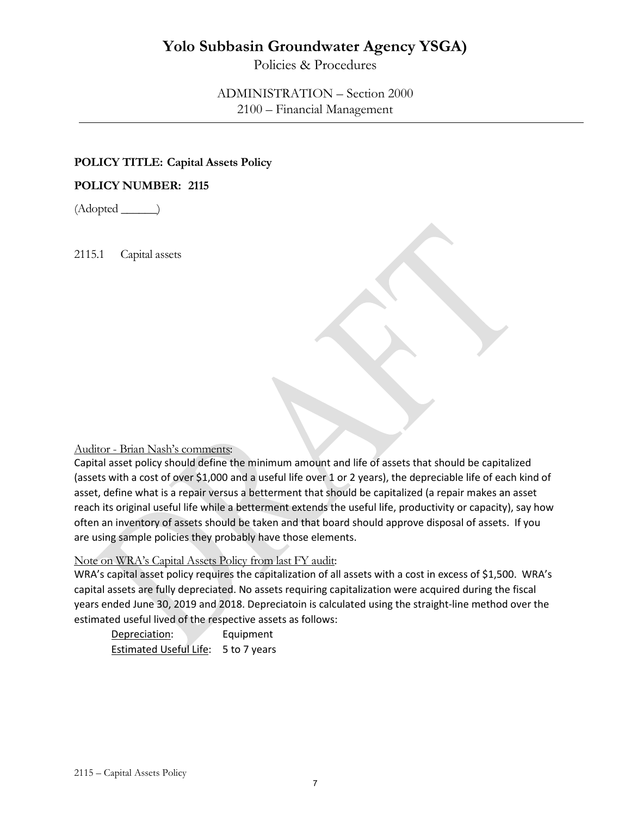Policies & Procedures

ADMINISTRATION – Section 2000 2100 – Financial Management

### **POLICY TITLE: Capital Assets Policy**

### **POLICY NUMBER: 2115**

 $(Adopted \_\_)$ 

2115.1 Capital assets

### Auditor - Brian Nash's comments:

Capital asset policy should define the minimum amount and life of assets that should be capitalized (assets with a cost of over \$1,000 and a useful life over 1 or 2 years), the depreciable life of each kind of asset, define what is a repair versus a betterment that should be capitalized (a repair makes an asset reach its original useful life while a betterment extends the useful life, productivity or capacity), say how often an inventory of assets should be taken and that board should approve disposal of assets. If you are using sample policies they probably have those elements.

## Note on WRA's Capital Assets Policy from last FY audit:

WRA's capital asset policy requires the capitalization of all assets with a cost in excess of \$1,500. WRA's capital assets are fully depreciated. No assets requiring capitalization were acquired during the fiscal years ended June 30, 2019 and 2018. Depreciatoin is calculated using the straight-line method over the estimated useful lived of the respective assets as follows:

| Depreciation:                 | Equipment    |
|-------------------------------|--------------|
| <b>Estimated Useful Life:</b> | 5 to 7 years |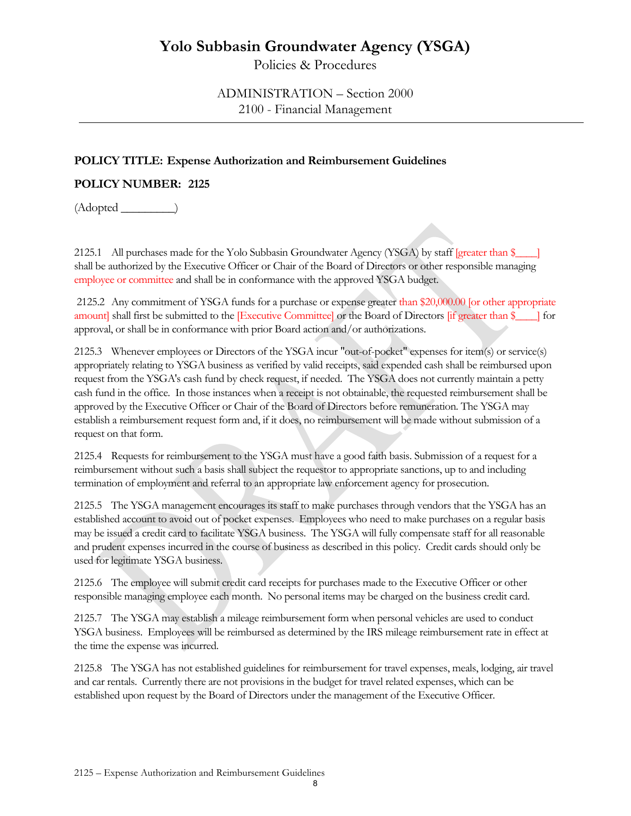Policies & Procedures

ADMINISTRATION – Section 2000 2100 - Financial Management

## **POLICY TITLE: Expense Authorization and Reimbursement Guidelines**

# **POLICY NUMBER: 2125**

 $(Adopted \_)$ 

2125.1 All purchases made for the Yolo Subbasin Groundwater Agency (YSGA) by staff [greater than \$\_\_\_\_] shall be authorized by the Executive Officer or Chair of the Board of Directors or other responsible managing employee or committee and shall be in conformance with the approved YSGA budget.

2125.2 Any commitment of YSGA funds for a purchase or expense greater than \$20,000.00 [or other appropriate amount] shall first be submitted to the [Executive Committee] or the Board of Directors [if greater than \$\_\_\_\_] for approval, or shall be in conformance with prior Board action and/or authorizations.

2125.3 Whenever employees or Directors of the YSGA incur "out-of-pocket" expenses for item(s) or service(s) appropriately relating to YSGA business as verified by valid receipts, said expended cash shall be reimbursed upon request from the YSGA's cash fund by check request, if needed. The YSGA does not currently maintain a petty cash fund in the office. In those instances when a receipt is not obtainable, the requested reimbursement shall be approved by the Executive Officer or Chair of the Board of Directors before remuneration. The YSGA may establish a reimbursement request form and, if it does, no reimbursement will be made without submission of a request on that form.

2125.4 Requests for reimbursement to the YSGA must have a good faith basis. Submission of a request for a reimbursement without such a basis shall subject the requestor to appropriate sanctions, up to and including termination of employment and referral to an appropriate law enforcement agency for prosecution.

2125.5 The YSGA management encourages its staff to make purchases through vendors that the YSGA has an established account to avoid out of pocket expenses. Employees who need to make purchases on a regular basis may be issued a credit card to facilitate YSGA business. The YSGA will fully compensate staff for all reasonable and prudent expenses incurred in the course of business as described in this policy. Credit cards should only be used for legitimate YSGA business.

2125.6 The employee will submit credit card receipts for purchases made to the Executive Officer or other responsible managing employee each month. No personal items may be charged on the business credit card.

2125.7 The YSGA may establish a mileage reimbursement form when personal vehicles are used to conduct YSGA business. Employees will be reimbursed as determined by the IRS mileage reimbursement rate in effect at the time the expense was incurred.

2125.8 The YSGA has not established guidelines for reimbursement for travel expenses, meals, lodging, air travel and car rentals. Currently there are not provisions in the budget for travel related expenses, which can be established upon request by the Board of Directors under the management of the Executive Officer.